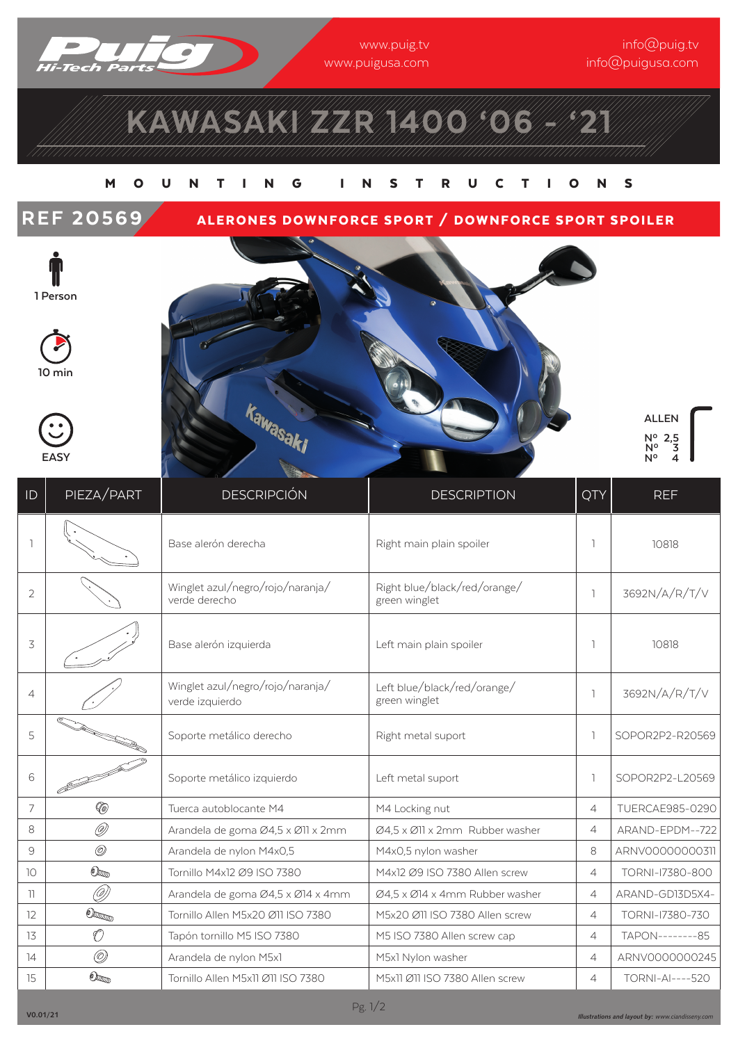

www.puig.tv www.puigusa.com inne Cipergres<br>Infinition com

# KAWASAKI ZZR 1400'06 - 121

### MOUNTING INSTRUCTIONS

### REF 20569 ALERONES DOWNFORCE SPORT / DOWNFORCE SPORT SPOILER



**10 min**





**ALLEN Nº22,5 Nº 2,3 Nº 2,4**

| ID                       | PIEZA/PART                  | <b>DESCRIPCIÓN</b>                                  | <b>DESCRIPTION</b>                            | QTY            | <b>REF</b>             |
|--------------------------|-----------------------------|-----------------------------------------------------|-----------------------------------------------|----------------|------------------------|
|                          |                             | Base alerón derecha                                 | Right main plain spoiler                      | ı.             | 10818                  |
| $\overline{2}$           |                             | Winglet azul/negro/rojo/naranja/<br>verde derecho   | Right blue/black/red/orange/<br>green winglet | $\overline{1}$ | 3692N/A/R/T/V          |
| 3                        |                             | Base alerón izquierda                               | Left main plain spoiler                       | <sub>1</sub>   | 10818                  |
| $\overline{4}$           |                             | Winglet azul/negro/rojo/naranja/<br>verde izquierdo | Left blue/black/red/orange/<br>green winglet  | $\overline{1}$ | 3692N/A/R/T/V          |
| 5                        |                             | Soporte metálico derecho                            | Right metal suport                            | $\mathbb{I}$   | SOPOR2P2-R20569        |
| 6                        |                             | Soporte metálico izquierdo                          | Left metal suport                             | $\mathbb{R}$   | SOPOR2P2-L20569        |
| $\overline{7}$           | (@                          | Tuerca autoblocante M4                              | M4 Locking nut                                | 4              | <b>TUERCAE985-0290</b> |
| 8                        | O)                          | Arandela de goma Ø4,5 x Ø11 x 2mm                   | Ø4,5 x Ø11 x 2mm Rubber washer                | $\overline{4}$ | ARAND-EPDM--722        |
| 9                        | $^{\circledR}$              | Arandela de nylon M4x0,5                            | M4x0,5 nylon washer                           | 8              | ARNV00000000311        |
| 10                       | $\mathbb{O}_{\mathbb{Z}_2}$ | Tornillo M4x12 Ø9 ISO 7380                          | M4x12 Ø9 ISO 7380 Allen screw                 | $\overline{4}$ | TORNI-17380-800        |
| $\overline{\phantom{a}}$ | Ø)                          | Arandela de goma Ø4,5 x Ø14 x 4mm                   | Ø4,5 x Ø14 x 4mm Rubber washer                | $\overline{4}$ | ARAND-GD13D5X4-        |
| 12                       | $\mathbb{O}_{\text{dom}}$   | Tornillo Allen M5x20 Ø11 ISO 7380                   | M5x20 Ø11 ISO 7380 Allen screw                | $\overline{4}$ | TORNI-17380-730        |
| 13                       | O                           | Tapón tornillo M5 ISO 7380                          | M5 ISO 7380 Allen screw cap                   | $\overline{4}$ | TAPON--------85        |
| 14                       | O)                          | Arandela de nylon M5x1                              | M5x1 Nylon washer                             | $\overline{4}$ | ARNV0000000245         |
| 15                       | $\mathbb{O}_{\text{Lip}}$   | Tornillo Allen M5x11 Ø11 ISO 7380                   | M5x11 Ø11 ISO 7380 Allen screw                | $\overline{4}$ | <b>TORNI-AI----520</b> |